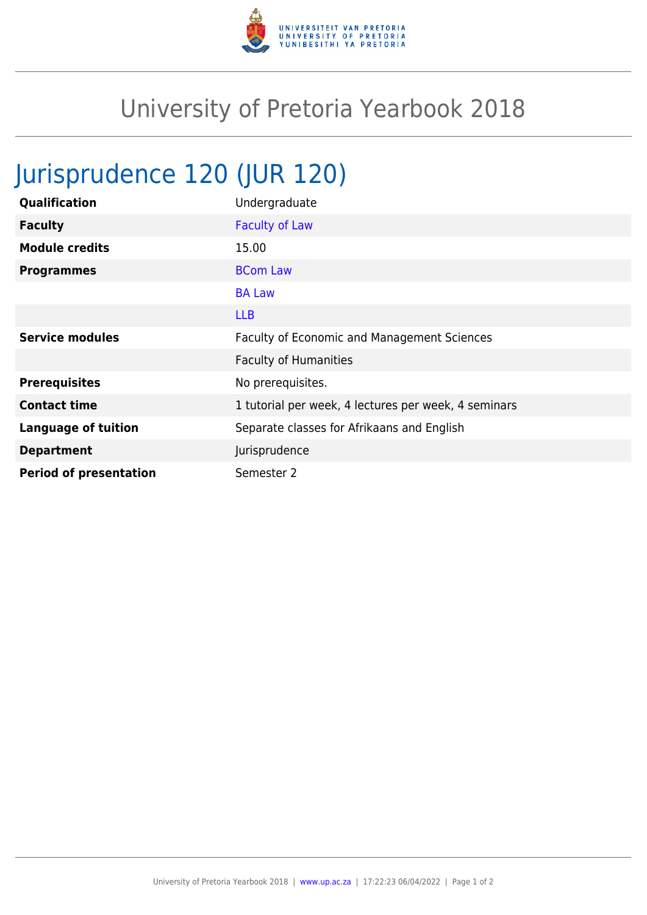

## University of Pretoria Yearbook 2018

## Jurisprudence 120 (JUR 120)

| Qualification                 | Undergraduate                                        |
|-------------------------------|------------------------------------------------------|
| <b>Faculty</b>                | <b>Faculty of Law</b>                                |
| <b>Module credits</b>         | 15.00                                                |
| <b>Programmes</b>             | <b>BCom Law</b>                                      |
|                               | <b>BA Law</b>                                        |
|                               | <b>LLB</b>                                           |
| <b>Service modules</b>        | Faculty of Economic and Management Sciences          |
|                               | <b>Faculty of Humanities</b>                         |
| <b>Prerequisites</b>          | No prerequisites.                                    |
| <b>Contact time</b>           | 1 tutorial per week, 4 lectures per week, 4 seminars |
| <b>Language of tuition</b>    | Separate classes for Afrikaans and English           |
| <b>Department</b>             | Jurisprudence                                        |
| <b>Period of presentation</b> | Semester 2                                           |